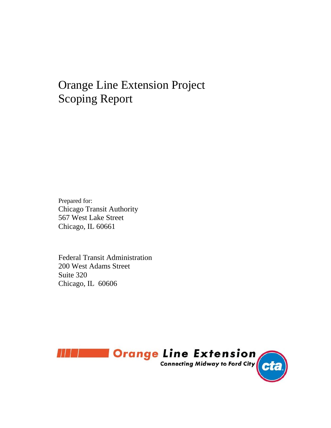# Orange Line Extension Project Scoping Report

Prepared for: Chicago Transit Authority 567 West Lake Street Chicago, IL 60661

Federal Transit Administration 200 West Adams Street Suite 320 Chicago, IL 60606

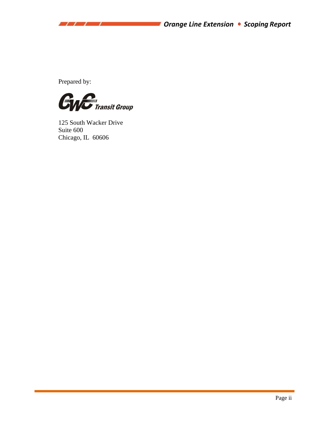Prepared by:

77 T T



125 South Wacker Drive Suite 600 Chicago, IL 60606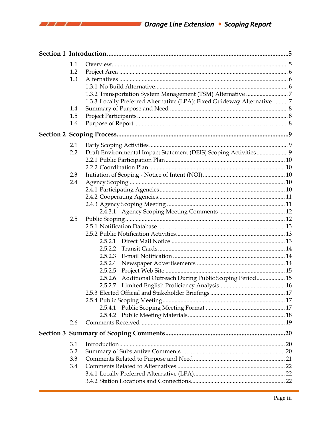| 1.1<br>1.2<br>1.3 |                                                                         |  |
|-------------------|-------------------------------------------------------------------------|--|
|                   |                                                                         |  |
|                   |                                                                         |  |
|                   | 1.3.3 Locally Preferred Alternative (LPA): Fixed Guideway Alternative 7 |  |
| 1.4               |                                                                         |  |
| 1.5               |                                                                         |  |
| 1.6               |                                                                         |  |
|                   |                                                                         |  |
| 2.1               |                                                                         |  |
| 2.2               | Draft Environmental Impact Statement (DEIS) Scoping Activities 9        |  |
|                   |                                                                         |  |
|                   |                                                                         |  |
| 2.3               |                                                                         |  |
| 2.4               |                                                                         |  |
|                   |                                                                         |  |
|                   |                                                                         |  |
|                   |                                                                         |  |
|                   |                                                                         |  |
| 2.5               |                                                                         |  |
|                   |                                                                         |  |
|                   |                                                                         |  |
|                   |                                                                         |  |
|                   | 2.5.2.2                                                                 |  |
|                   |                                                                         |  |
|                   | 2.5.2.5                                                                 |  |
|                   | Additional Outreach During Public Scoping Period 15<br>2.5.2.6          |  |
|                   | 2.5.2.7                                                                 |  |
|                   |                                                                         |  |
|                   |                                                                         |  |
|                   |                                                                         |  |
|                   |                                                                         |  |
| 2.6               |                                                                         |  |
|                   |                                                                         |  |
| 3.1               |                                                                         |  |
| 3.2               |                                                                         |  |
| 3.3               |                                                                         |  |
| 3.4               |                                                                         |  |
|                   |                                                                         |  |
|                   |                                                                         |  |

 $(1111)$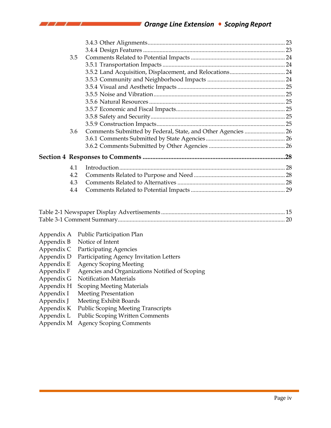# *Orange Line Extension Scoping Report*

| 3.5 |                                                              |  |
|-----|--------------------------------------------------------------|--|
|     |                                                              |  |
|     |                                                              |  |
|     |                                                              |  |
|     |                                                              |  |
|     |                                                              |  |
|     |                                                              |  |
|     |                                                              |  |
|     |                                                              |  |
|     |                                                              |  |
| 3.6 | Comments Submitted by Federal, State, and Other Agencies  26 |  |
|     |                                                              |  |
|     |                                                              |  |
|     |                                                              |  |
| 4.1 |                                                              |  |
| 4.2 |                                                              |  |
| 4.3 |                                                              |  |
| 4.4 |                                                              |  |
|     |                                                              |  |

| Public Participation Plan<br>Appendix A |  |
|-----------------------------------------|--|
|-----------------------------------------|--|

#### Appendix B Notice of Intent

 $\prime$   $\prime$   $\prime$ 

- Appendix C Participating Agencies
- Appendix D Participating Agency Invitation Letters
- Appendix E Agency Scoping Meeting
- Appendix F Agencies and Organizations Notified of Scoping
- Appendix G Notification Materials
- Appendix H Scoping Meeting Materials
- 
- Appendix I Meeting Presentation<br>Appendix J Meeting Exhibit Board Meeting Exhibit Boards
- Appendix K Public Scoping Meeting Transcripts
- Appendix L Public Scoping Written Comments
- Appendix M Agency Scoping Comments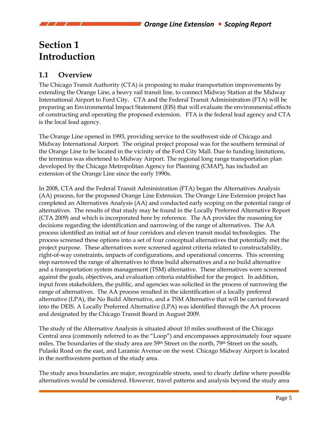# **Section 1 Introduction**

# **1.1 Overview**

The Chicago Transit Authority (CTA) is proposing to make transportation improvements by extending the Orange Line, a heavy rail transit line, to connect Midway Station at the Midway International Airport to Ford City. CTA and the Federal Transit Administration (FTA) will be preparing an Environmental Impact Statement (EIS) that will evaluate the environmental effects of constructing and operating the proposed extension. FTA is the federal lead agency and CTA is the local lead agency.

The Orange Line opened in 1993, providing service to the southwest side of Chicago and Midway International Airport. The original project proposal was for the southern terminal of the Orange Line to be located in the vicinity of the Ford City Mall. Due to funding limitations, the terminus was shortened to Midway Airport. The regional long range transportation plan developed by the Chicago Metropolitan Agency for Planning (CMAP), has included an extension of the Orange Line since the early 1990s.

In 2008, CTA and the Federal Transit Administration (FTA) began the Alternatives Analysis (AA) process, for the proposed Orange Line Extension. The Orange Line Extension project has completed an Alternatives Analysis (AA) and conducted early scoping on the potential range of alternatives. The results of that study may be found in the Locally Preferred Alternative Report (CTA 2009) and which is incorporated here by reference. The AA provides the reasoning for decisions regarding the identification and narrowing of the range of alternatives. The AA process identified an initial set of four corridors and eleven transit modal technologies. The process screened these options into a set of four conceptual alternatives that potentially met the project purpose. These alternatives were screened against criteria related to constructability, right-of-way constraints, impacts of configurations, and operational concerns. This screening step narrowed the range of alternatives to three build alternatives and a no build alternative and a transportation system management (TSM) alternative. These alternatives were screened against the goals, objectives, and evaluation criteria established for the project. In addition, input from stakeholders, the public, and agencies was solicited in the process of narrowing the range of alternatives. The AA process resulted in the identification of a locally preferred alternative (LPA), the No Build Alternative, and a TSM Alternative that will be carried forward into the DEIS. A Locally Preferred Alternative (LPA) was identified through the AA process and designated by the Chicago Transit Board in August 2009.

The study of the Alternative Analysis is situated about 10 miles southwest of the Chicago Central area (commonly referred to as the "Loop") and encompasses approximately four square miles. The boundaries of the study area are 59<sup>th</sup> Street on the north, 79<sup>th</sup> Street on the south, Pulaski Road on the east, and Laramie Avenue on the west. Chicago Midway Airport is located in the northwestern portion of the study area.

The study area boundaries are major, recognizable streets, used to clearly define where possible alternatives would be considered. However, travel patterns and analysis beyond the study area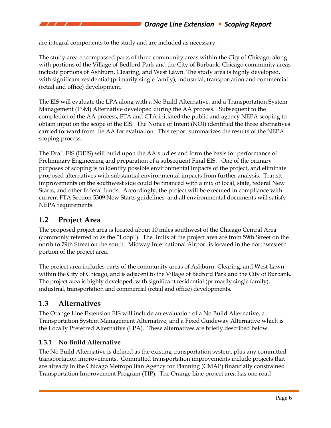are integral components to the study and are included as necessary.

The study area encompassed parts of three community areas within the City of Chicago, along with portions of the Village of Bedford Park and the City of Burbank. Chicago community areas include portions of Ashburn, Clearing, and West Lawn. The study area is highly developed, with significant residential (primarily single family), industrial, transportation and commercial (retail and office) development.

The EIS will evaluate the LPA along with a No Build Alternative, and a Transportation System Management (TSM) Alternative developed during the AA process. Subsequent to the completion of the AA process, FTA and CTA initiated the public and agency NEPA scoping to obtain input on the scope of the EIS. The Notice of Intent (NOI) identified the three alternatives carried forward from the AA for evaluation. This report summarizes the results of the NEPA scoping process.

The Draft EIS (DEIS) will build upon the AA studies and form the basis for performance of Preliminary Engineering and preparation of a subsequent Final EIS. One of the primary purposes of scoping is to identify possible environmental impacts of the project, and eliminate proposed alternatives with substantial environmental impacts from further analysis. Transit improvements on the southwest side could be financed with a mix of local, state, federal New Starts, and other federal funds. Accordingly, the project will be executed in compliance with current FTA Section 5309 New Starts guidelines, and all environmental documents will satisfy NEPA requirements.

# **1.2 Project Area**

The proposed project area is located about 10 miles southwest of the Chicago Central Area (commonly referred to as the "Loop"). The limits of the project area are from 59th Street on the north to 79th Street on the south. Midway International Airport is located in the northwestern portion of the project area.

The project area includes parts of the community areas of Ashburn, Clearing, and West Lawn within the City of Chicago, and is adjacent to the Village of Bedford Park and the City of Burbank. The project area is highly developed, with significant residential (primarily single family), industrial, transportation and commercial (retail and office) developments.

# **1.3 Alternatives**

The Orange Line Extension EIS will include an evaluation of a No Build Alternative, a Transportation System Management Alternative, and a Fixed Guideway Alternative which is the Locally Preferred Alternative (LPA). These alternatives are briefly described below.

### **1.3.1 No Build Alternative**

The No Build Alternative is defined as the existing transportation system, plus any committed transportation improvements. Committed transportation improvements include projects that are already in the Chicago Metropolitan Agency for Planning (CMAP) financially constrained Transportation Improvement Program (TIP). The Orange Line project area has one road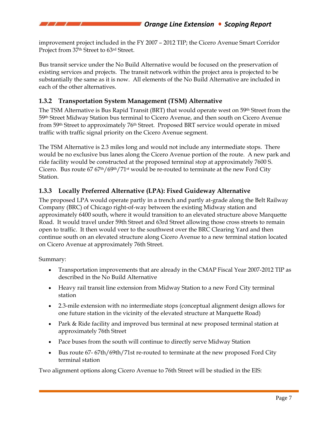improvement project included in the FY 2007 – 2012 TIP; the Cicero Avenue Smart Corridor Project from 37th Street to 63rd Street.

Bus transit service under the No Build Alternative would be focused on the preservation of existing services and projects. The transit network within the project area is projected to be substantially the same as it is now. All elements of the No Build Alternative are included in each of the other alternatives.

### **1.3.2 Transportation System Management (TSM) Alternative**

The TSM Alternative is Bus Rapid Transit (BRT) that would operate west on 59<sup>th</sup> Street from the 59th Street Midway Station bus terminal to Cicero Avenue, and then south on Cicero Avenue from 59<sup>th</sup> Street to approximately 76<sup>th</sup> Street. Proposed BRT service would operate in mixed traffic with traffic signal priority on the Cicero Avenue segment.

The TSM Alternative is 2.3 miles long and would not include any intermediate stops. There would be no exclusive bus lanes along the Cicero Avenue portion of the route. A new park and ride facility would be constructed at the proposed terminal stop at approximately 7600 S. Cicero. Bus route 67 67th/69th/71st would be re-routed to terminate at the new Ford City Station.

### **1.3.3 Locally Preferred Alternative (LPA): Fixed Guideway Alternative**

The proposed LPA would operate partly in a trench and partly at-grade along the Belt Railway Company (BRC) of Chicago right-of-way between the existing Midway station and approximately 6400 south, where it would transition to an elevated structure above Marquette Road. It would travel under 59th Street and 63rd Street allowing those cross streets to remain open to traffic. It then would veer to the southwest over the BRC Clearing Yard and then continue south on an elevated structure along Cicero Avenue to a new terminal station located on Cicero Avenue at approximately 76th Street.

Summary:

- Transportation improvements that are already in the CMAP Fiscal Year 2007-2012 TIP as described in the No Build Alternative
- Heavy rail transit line extension from Midway Station to a new Ford City terminal station
- 2.3-mile extension with no intermediate stops (conceptual alignment design allows for one future station in the vicinity of the elevated structure at Marquette Road)
- Park & Ride facility and improved bus terminal at new proposed terminal station at approximately 76th Street
- Pace buses from the south will continue to directly serve Midway Station
- Bus route 67-67th/69th/71st re-routed to terminate at the new proposed Ford City terminal station

Two alignment options along Cicero Avenue to 76th Street will be studied in the EIS: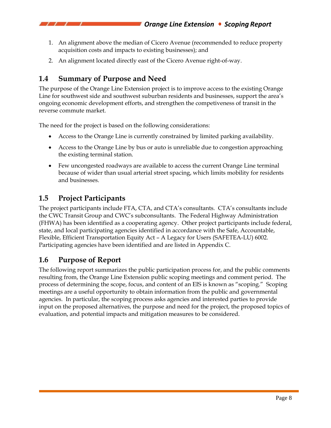- 1. An alignment above the median of Cicero Avenue (recommended to reduce property acquisition costs and impacts to existing businesses); and
- 2. An alignment located directly east of the Cicero Avenue right-of-way.

# **1.4 Summary of Purpose and Need**

The purpose of the Orange Line Extension project is to improve access to the existing Orange Line for southwest side and southwest suburban residents and businesses, support the area's ongoing economic development efforts, and strengthen the competiveness of transit in the reverse commute market.

The need for the project is based on the following considerations:

- Access to the Orange Line is currently constrained by limited parking availability.
- Access to the Orange Line by bus or auto is unreliable due to congestion approaching the existing terminal station.
- Few uncongested roadways are available to access the current Orange Line terminal because of wider than usual arterial street spacing, which limits mobility for residents and businesses.

# **1.5 Project Participants**

The project participants include FTA, CTA, and CTA's consultants. CTA's consultants include the CWC Transit Group and CWC's subconsultants. The Federal Highway Administration (FHWA) has been identified as a cooperating agency. Other project participants include federal, state, and local participating agencies identified in accordance with the Safe, Accountable, Flexible, Efficient Transportation Equity Act – A Legacy for Users (SAFETEA-LU) 6002. Participating agencies have been identified and are listed in Appendix C.

# **1.6 Purpose of Report**

The following report summarizes the public participation process for, and the public comments resulting from, the Orange Line Extension public scoping meetings and comment period. The process of determining the scope, focus, and content of an EIS is known as "scoping." Scoping meetings are a useful opportunity to obtain information from the public and governmental agencies. In particular, the scoping process asks agencies and interested parties to provide input on the proposed alternatives, the purpose and need for the project, the proposed topics of evaluation, and potential impacts and mitigation measures to be considered.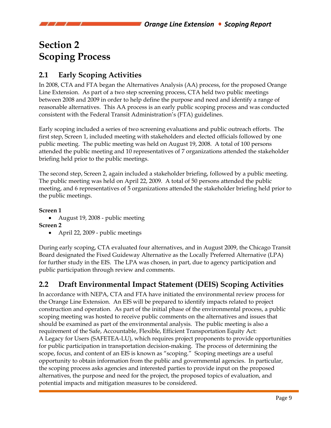# **Section 2 Scoping Process**

# **2.1 Early Scoping Activities**

In 2008, CTA and FTA began the Alternatives Analysis (AA) process, for the proposed Orange Line Extension. As part of a two step screening process, CTA held two public meetings between 2008 and 2009 in order to help define the purpose and need and identify a range of reasonable alternatives. This AA process is an early public scoping process and was conducted consistent with the Federal Transit Administration's (FTA) guidelines.

Early scoping included a series of two screening evaluations and public outreach efforts. The first step, Screen 1, included meeting with stakeholders and elected officials followed by one public meeting. The public meeting was held on August 19, 2008. A total of 100 persons attended the public meeting and 10 representatives of 7 organizations attended the stakeholder briefing held prior to the public meetings.

The second step, Screen 2, again included a stakeholder briefing, followed by a public meeting. The public meeting was held on April 22, 2009. A total of 50 persons attended the public meeting, and 6 representatives of 5 organizations attended the stakeholder briefing held prior to the public meetings.

### **Screen 1**

• August 19, 2008 - public meeting

**Screen 2** 

• April 22, 2009 - public meetings

During early scoping, CTA evaluated four alternatives, and in August 2009, the Chicago Transit Board designated the Fixed Guideway Alternative as the Locally Preferred Alternative (LPA) for further study in the EIS. The LPA was chosen, in part, due to agency participation and public participation through review and comments.

# **2.2 Draft Environmental Impact Statement (DEIS) Scoping Activities**

In accordance with NEPA, CTA and FTA have initiated the environmental review process for the Orange Line Extension. An EIS will be prepared to identify impacts related to project construction and operation. As part of the initial phase of the environmental process, a public scoping meeting was hosted to receive public comments on the alternatives and issues that should be examined as part of the environmental analysis. The public meeting is also a requirement of the Safe, Accountable, Flexible, Efficient Transportation Equity Act: A Legacy for Users (SAFETEA-LU), which requires project proponents to provide opportunities for public participation in transportation decision-making. The process of determining the scope, focus, and content of an EIS is known as "scoping." Scoping meetings are a useful opportunity to obtain information from the public and governmental agencies. In particular, the scoping process asks agencies and interested parties to provide input on the proposed alternatives, the purpose and need for the project, the proposed topics of evaluation, and potential impacts and mitigation measures to be considered.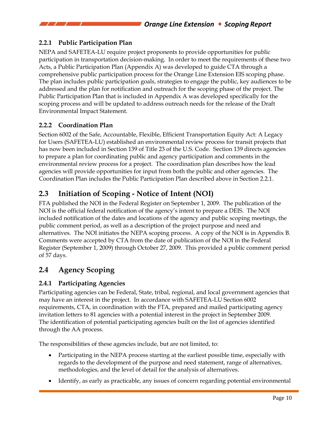# **2.2.1 Public Participation Plan**

NEPA and SAFETEA-LU require project proponents to provide opportunities for public participation in transportation decision-making. In order to meet the requirements of these two Acts, a Public Participation Plan (Appendix A) was developed to guide CTA through a comprehensive public participation process for the Orange Line Extension EIS scoping phase. The plan includes public participation goals, strategies to engage the public, key audiences to be addressed and the plan for notification and outreach for the scoping phase of the project. The Public Participation Plan that is included in Appendix A was developed specifically for the scoping process and will be updated to address outreach needs for the release of the Draft Environmental Impact Statement.

# **2.2.2 Coordination Plan**

Section 6002 of the Safe, Accountable, Flexible, Efficient Transportation Equity Act: A Legacy for Users (SAFETEA-LU) established an environmental review process for transit projects that has now been included in Section 139 of Title 23 of the U.S. Code. Section 139 directs agencies to prepare a plan for coordinating public and agency participation and comments in the environmental review process for a project. The coordination plan describes how the lead agencies will provide opportunities for input from both the public and other agencies. The Coordination Plan includes the Public Participation Plan described above in Section 2.2.1.

# **2.3 Initiation of Scoping - Notice of Intent (NOI)**

FTA published the NOI in the Federal Register on September 1, 2009. The publication of the NOI is the official federal notification of the agency's intent to prepare a DEIS. The NOI included notification of the dates and locations of the agency and public scoping meetings, the public comment period, as well as a description of the project purpose and need and alternatives. The NOI initiates the NEPA scoping process. A copy of the NOI is in Appendix B. Comments were accepted by CTA from the date of publication of the NOI in the Federal Register (September 1, 2009) through October 27, 2009. This provided a public comment period of 57 days.

# **2.4 Agency Scoping**

# **2.4.1 Participating Agencies**

Participating agencies can be Federal, State, tribal, regional, and local government agencies that may have an interest in the project. In accordance with SAFETEA-LU Section 6002 requirements, CTA, in coordination with the FTA, prepared and mailed participating agency invitation letters to 81 agencies with a potential interest in the project in September 2009. The identification of potential participating agencies built on the list of agencies identified through the AA process.

The responsibilities of these agencies include, but are not limited, to:

- Participating in the NEPA process starting at the earliest possible time, especially with regards to the development of the purpose and need statement, range of alternatives, methodologies, and the level of detail for the analysis of alternatives.
- Identify, as early as practicable, any issues of concern regarding potential environmental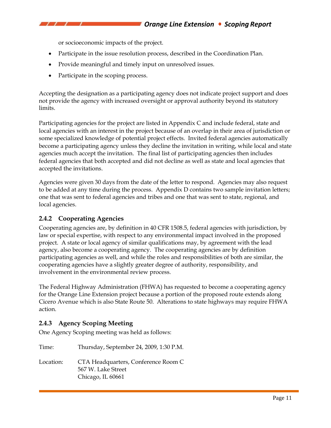or socioeconomic impacts of the project.

- Participate in the issue resolution process, described in the Coordination Plan.
- Provide meaningful and timely input on unresolved issues.
- Participate in the scoping process.

Accepting the designation as a participating agency does not indicate project support and does not provide the agency with increased oversight or approval authority beyond its statutory limits.

Participating agencies for the project are listed in Appendix C and include federal, state and local agencies with an interest in the project because of an overlap in their area of jurisdiction or some specialized knowledge of potential project effects. Invited federal agencies automatically become a participating agency unless they decline the invitation in writing, while local and state agencies much accept the invitation. The final list of participating agencies then includes federal agencies that both accepted and did not decline as well as state and local agencies that accepted the invitations.

Agencies were given 30 days from the date of the letter to respond. Agencies may also request to be added at any time during the process. Appendix D contains two sample invitation letters; one that was sent to federal agencies and tribes and one that was sent to state, regional, and local agencies.

### **2.4.2 Cooperating Agencies**

Cooperating agencies are, by definition in 40 CFR 1508.5, federal agencies with jurisdiction, by law or special expertise, with respect to any environmental impact involved in the proposed project. A state or local agency of similar qualifications may, by agreement with the lead agency, also become a cooperating agency. The cooperating agencies are by definition participating agencies as well, and while the roles and responsibilities of both are similar, the cooperating agencies have a slightly greater degree of authority, responsibility, and involvement in the environmental review process.

The Federal Highway Administration (FHWA) has requested to become a cooperating agency for the Orange Line Extension project because a portion of the proposed route extends along Cicero Avenue which is also State Route 50. Alterations to state highways may require FHWA action.

### **2.4.3 Agency Scoping Meeting**

One Agency Scoping meeting was held as follows:

Time: Thursday, September 24, 2009, 1:30 P.M. Location: CTA Headquarters, Conference Room C 567 W. Lake Street Chicago, IL 60661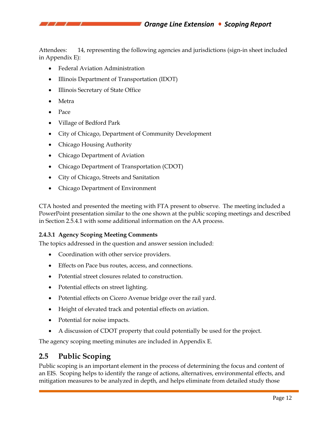Attendees: 14, representing the following agencies and jurisdictions (sign-in sheet included in Appendix E):

- Federal Aviation Administration
- Illinois Department of Transportation (IDOT)
- Illinois Secretary of State Office
- Metra
- Pace
- Village of Bedford Park
- City of Chicago, Department of Community Development
- Chicago Housing Authority
- Chicago Department of Aviation
- Chicago Department of Transportation (CDOT)
- City of Chicago, Streets and Sanitation
- Chicago Department of Environment

CTA hosted and presented the meeting with FTA present to observe. The meeting included a PowerPoint presentation similar to the one shown at the public scoping meetings and described in Section 2.5.4.1 with some additional information on the AA process.

### **2.4.3.1 Agency Scoping Meeting Comments**

The topics addressed in the question and answer session included:

- Coordination with other service providers.
- Effects on Pace bus routes, access, and connections.
- Potential street closures related to construction.
- Potential effects on street lighting.
- Potential effects on Cicero Avenue bridge over the rail yard.
- Height of elevated track and potential effects on aviation.
- Potential for noise impacts.
- A discussion of CDOT property that could potentially be used for the project.

The agency scoping meeting minutes are included in Appendix E.

# **2.5 Public Scoping**

Public scoping is an important element in the process of determining the focus and content of an EIS. Scoping helps to identify the range of actions, alternatives, environmental effects, and mitigation measures to be analyzed in depth, and helps eliminate from detailed study those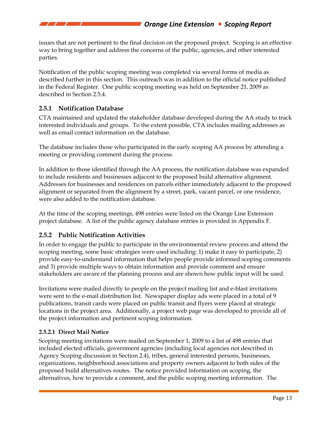issues that are not pertinent to the final decision on the proposed project. Scoping is an effective way to bring together and address the concerns of the public, agencies, and other interested parties.

Notification of the public scoping meeting was completed via several forms of media as described further in this section. This outreach was in addition to the official notice published in the Federal Register. One public scoping meeting was held on September 21, 2009 as described in Section 2.5.4.

### **2.5.1 Notification Database**

CTA maintained and updated the stakeholder database developed during the AA study to track interested individuals and groups. To the extent possible, CTA includes mailing addresses as well as email contact information on the database.

The database includes those who participated in the early scoping AA process by attending a meeting or providing comment during the process.

In addition to those identified through the AA process, the notification database was expanded to include residents and businesses adjacent to the proposed build alternative alignment. Addresses for businesses and residences on parcels either immediately adjacent to the proposed alignment or separated from the alignment by a street, park, vacant parcel, or one residence, were also added to the notification database.

At the time of the scoping meetings, 498 entries were listed on the Orange Line Extension project database. A list of the public agency database entries is provided in Appendix F.

# **2.5.2 Public Notification Activities**

In order to engage the public to participate in the environmental review process and attend the scoping meeting, some basic strategies were used including: 1) make it easy to participate, 2) provide easy-to-understand information that helps people provide informed scoping comments and 3) provide multiple ways to obtain information and provide comment and ensure stakeholders are aware of the planning process and are shown how public input will be used.

Invitations were mailed directly to people on the project mailing list and e-blast invitations were sent to the e-mail distribution list. Newspaper display ads were placed in a total of 9 publications, transit cards were placed on public transit and flyers were placed at strategic locations in the project area. Additionally, a project web page was developed to provide all of the project information and pertinent scoping information.

### **2.5.2.1 Direct Mail Notice**

Scoping meeting invitations were mailed on September 1, 2009 to a list of 498 entries that included elected officials, government agencies (including local agencies not described in Agency Scoping discussion in Section 2.4), tribes, general interested persons, businesses, organizations, neighborhood associations and property owners adjacent to both sides of the proposed build alternatives routes. The notice provided information on scoping, the alternatives, how to provide a comment, and the public scoping meeting information. The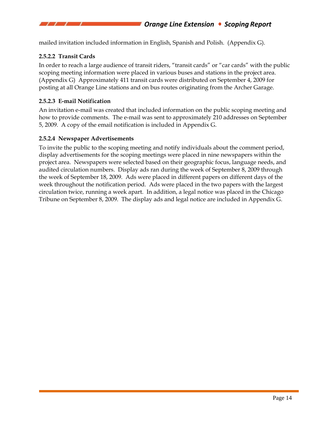mailed invitation included information in English, Spanish and Polish. (Appendix G).

### **2.5.2.2 Transit Cards**

In order to reach a large audience of transit riders, "transit cards" or "car cards" with the public scoping meeting information were placed in various buses and stations in the project area. (Appendix G) Approximately 411 transit cards were distributed on September 4, 2009 for posting at all Orange Line stations and on bus routes originating from the Archer Garage.

#### **2.5.2.3 E-mail Notification**

An invitation e-mail was created that included information on the public scoping meeting and how to provide comments. The e-mail was sent to approximately 210 addresses on September 5, 2009. A copy of the email notification is included in Appendix G.

#### **2.5.2.4 Newspaper Advertisements**

To invite the public to the scoping meeting and notify individuals about the comment period, display advertisements for the scoping meetings were placed in nine newspapers within the project area. Newspapers were selected based on their geographic focus, language needs, and audited circulation numbers. Display ads ran during the week of September 8, 2009 through the week of September 18, 2009. Ads were placed in different papers on different days of the week throughout the notification period. Ads were placed in the two papers with the largest circulation twice, running a week apart. In addition, a legal notice was placed in the Chicago Tribune on September 8, 2009. The display ads and legal notice are included in Appendix G.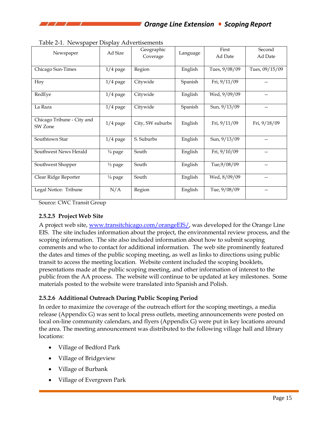|                            | Ad Size            | Geographic       | Language | First         | Second         |
|----------------------------|--------------------|------------------|----------|---------------|----------------|
| Newspaper                  |                    | Coverage         |          | Ad Date       | Ad Date        |
|                            |                    |                  |          |               |                |
| Chicago Sun-Times          | $1/4$ page         | Region           | English  | Tues, 9/08/09 | Tues, 09/15/09 |
|                            |                    |                  |          |               |                |
| Hoy                        | $1/4$ page         | Citywide         | Spanish  | Fri, 9/11/09  |                |
| RedEye                     | $1/4$ page         | Citywide         | English  | Wed, 9/09/09  |                |
|                            |                    |                  |          |               |                |
| La Raza                    | $1/4$ page         | Citywide         | Spanish  | Sun, 9/13/09  |                |
|                            |                    |                  |          |               |                |
| Chicago Tribune - City and | $1/4$ page         | City, SW suburbs | English  | Fri, 9/11/09  | Fri, 9/18/09   |
| SW Zone                    |                    |                  |          |               |                |
|                            |                    |                  |          |               |                |
| Southtown Star             | $1/4$ page         | S. Suburbs       | English  | Sun, 9/13/09  | --             |
|                            |                    |                  |          |               |                |
| Southwest News Herald      | $\frac{1}{4}$ page | South            | English  | Fri, 9/10/09  | --             |
| Southwest Shopper          |                    | South            | English  | Tue, 9/08/09  |                |
|                            | $\frac{1}{2}$ page |                  |          |               | --             |
| Clear Ridge Reporter       | $\frac{1}{4}$ page | South            | English  | Wed, 8/09/09  | $\overline{a}$ |
|                            |                    |                  |          |               |                |
| Legal Notice: Tribune      | N/A                | Region           | English  | Tue, 9/08/09  | --             |
|                            |                    |                  |          |               |                |

Table 2-1. Newspaper Display Advertisements

Source: CWC Transit Group

#### **2.5.2.5 Project Web Site**

A project web site, www.transitchicago.com/orangeEIS/, was developed for the Orange Line EIS. The site includes information about the project, the environmental review process, and the scoping information. The site also included information about how to submit scoping comments and who to contact for additional information. The web site prominently featured the dates and times of the public scoping meeting, as well as links to directions using public transit to access the meeting location. Website content included the scoping booklets, presentations made at the public scoping meeting, and other information of interest to the public from the AA process. The website will continue to be updated at key milestones. Some materials posted to the website were translated into Spanish and Polish.

#### **2.5.2.6 Additional Outreach During Public Scoping Period**

In order to maximize the coverage of the outreach effort for the scoping meetings, a media release (Appendix G) was sent to local press outlets, meeting announcements were posted on local on-line community calendars, and flyers (Appendix G) were put in key locations around the area. The meeting announcement was distributed to the following village hall and library locations:

- Village of Bedford Park
- Village of Bridgeview
- Village of Burbank
- Village of Evergreen Park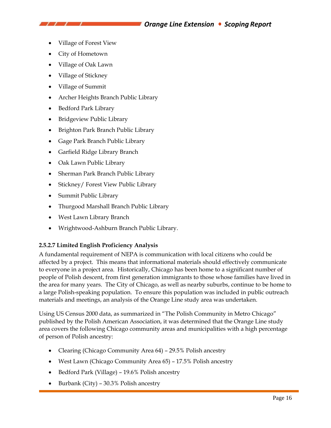- Village of Forest View
- City of Hometown
- Village of Oak Lawn
- Village of Stickney
- Village of Summit
- Archer Heights Branch Public Library
- Bedford Park Library
- Bridgeview Public Library
- Brighton Park Branch Public Library
- Gage Park Branch Public Library
- Garfield Ridge Library Branch
- Oak Lawn Public Library
- Sherman Park Branch Public Library
- Stickney/ Forest View Public Library
- Summit Public Library
- Thurgood Marshall Branch Public Library
- West Lawn Library Branch
- Wrightwood-Ashburn Branch Public Library.

#### **2.5.2.7 Limited English Proficiency Analysis**

A fundamental requirement of NEPA is communication with local citizens who could be affected by a project. This means that informational materials should effectively communicate to everyone in a project area. Historically, Chicago has been home to a significant number of people of Polish descent, from first generation immigrants to those whose families have lived in the area for many years. The City of Chicago, as well as nearby suburbs, continue to be home to a large Polish-speaking population. To ensure this population was included in public outreach materials and meetings, an analysis of the Orange Line study area was undertaken.

Using US Census 2000 data, as summarized in "The Polish Community in Metro Chicago" published by the Polish American Association, it was determined that the Orange Line study area covers the following Chicago community areas and municipalities with a high percentage of person of Polish ancestry:

- Clearing (Chicago Community Area 64) 29.5% Polish ancestry
- West Lawn (Chicago Community Area 65) 17.5% Polish ancestry
- Bedford Park (Village) 19.6% Polish ancestry
- Burbank (City) 30.3% Polish ancestry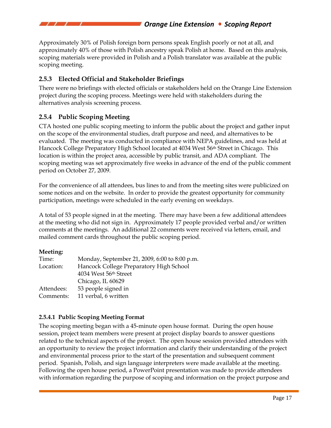Approximately 30% of Polish foreign born persons speak English poorly or not at all, and approximately 40% of those with Polish ancestry speak Polish at home. Based on this analysis, scoping materials were provided in Polish and a Polish translator was available at the public scoping meeting.

### **2.5.3 Elected Official and Stakeholder Briefings**

There were no briefings with elected officials or stakeholders held on the Orange Line Extension project during the scoping process. Meetings were held with stakeholders during the alternatives analysis screening process.

### **2.5.4 Public Scoping Meeting**

CTA hosted one public scoping meeting to inform the public about the project and gather input on the scope of the environmental studies, draft purpose and need, and alternatives to be evaluated. The meeting was conducted in compliance with NEPA guidelines, and was held at Hancock College Preparatory High School located at 4034 West 56th Street in Chicago. This location is within the project area, accessible by public transit, and ADA compliant. The scoping meeting was set approximately five weeks in advance of the end of the public comment period on October 27, 2009.

For the convenience of all attendees, bus lines to and from the meeting sites were publicized on some notices and on the website. In order to provide the greatest opportunity for community participation, meetings were scheduled in the early evening on weekdays.

A total of 53 people signed in at the meeting. There may have been a few additional attendees at the meeting who did not sign in. Approximately 17 people provided verbal and/or written comments at the meetings. An additional 22 comments were received via letters, email, and mailed comment cards throughout the public scoping period.

#### **Meeting:**

| Time:      | Monday, September 21, 2009, 6:00 to 8:00 p.m. |
|------------|-----------------------------------------------|
| Location:  | Hancock College Preparatory High School       |
|            | 4034 West 56th Street                         |
|            | Chicago, IL 60629                             |
| Attendees: | 53 people signed in                           |
| Comments:  | 11 verbal, 6 written                          |

### **2.5.4.1 Public Scoping Meeting Format**

The scoping meeting began with a 45-minute open house format. During the open house session, project team members were present at project display boards to answer questions related to the technical aspects of the project. The open house session provided attendees with an opportunity to review the project information and clarify their understanding of the project and environmental process prior to the start of the presentation and subsequent comment period. Spanish, Polish, and sign language interpreters were made available at the meeting. Following the open house period, a PowerPoint presentation was made to provide attendees with information regarding the purpose of scoping and information on the project purpose and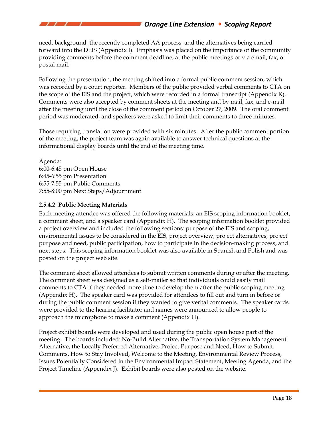# *Orange Line Extension Scoping Report*

need, background, the recently completed AA process, and the alternatives being carried forward into the DEIS (Appendix I). Emphasis was placed on the importance of the community providing comments before the comment deadline, at the public meetings or via email, fax, or postal mail.

Following the presentation, the meeting shifted into a formal public comment session, which was recorded by a court reporter. Members of the public provided verbal comments to CTA on the scope of the EIS and the project, which were recorded in a formal transcript (Appendix K). Comments were also accepted by comment sheets at the meeting and by mail, fax, and e-mail after the meeting until the close of the comment period on October 27, 2009. The oral comment period was moderated, and speakers were asked to limit their comments to three minutes.

Those requiring translation were provided with six minutes. After the public comment portion of the meeting, the project team was again available to answer technical questions at the informational display boards until the end of the meeting time.

Agenda: 6:00‐6:45 pm Open House 6:45‐6:55 pm Presentation 6:55‐7:55 pm Public Comments 7:55‐8:00 pm Next Steps/Adjournment

#### **2.5.4.2 Public Meeting Materials**

Each meeting attendee was offered the following materials: an EIS scoping information booklet, a comment sheet, and a speaker card (Appendix H). The scoping information booklet provided a project overview and included the following sections: purpose of the EIS and scoping, environmental issues to be considered in the EIS, project overview, project alternatives, project purpose and need, public participation, how to participate in the decision-making process, and next steps. This scoping information booklet was also available in Spanish and Polish and was posted on the project web site.

The comment sheet allowed attendees to submit written comments during or after the meeting. The comment sheet was designed as a self-mailer so that individuals could easily mail comments to CTA if they needed more time to develop them after the public scoping meeting (Appendix H). The speaker card was provided for attendees to fill out and turn in before or during the public comment session if they wanted to give verbal comments. The speaker cards were provided to the hearing facilitator and names were announced to allow people to approach the microphone to make a comment (Appendix H).

Project exhibit boards were developed and used during the public open house part of the meeting. The boards included: No-Build Alternative, the Transportation System Management Alternative, the Locally Preferred Alternative, Project Purpose and Need, How to Submit Comments, How to Stay Involved, Welcome to the Meeting, Environmental Review Process, Issues Potentially Considered in the Environmental Impact Statement, Meeting Agenda, and the Project Timeline (Appendix J). Exhibit boards were also posted on the website.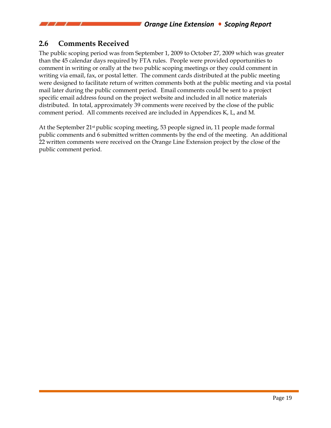# **2.6 Comments Received**

The public scoping period was from September 1, 2009 to October 27, 2009 which was greater than the 45 calendar days required by FTA rules. People were provided opportunities to comment in writing or orally at the two public scoping meetings or they could comment in writing via email, fax, or postal letter. The comment cards distributed at the public meeting were designed to facilitate return of written comments both at the public meeting and via postal mail later during the public comment period. Email comments could be sent to a project specific email address found on the project website and included in all notice materials distributed. In total, approximately 39 comments were received by the close of the public comment period. All comments received are included in Appendices K, L, and M.

At the September 21st public scoping meeting, 53 people signed in, 11 people made formal public comments and 6 submitted written comments by the end of the meeting. An additional 22 written comments were received on the Orange Line Extension project by the close of the public comment period.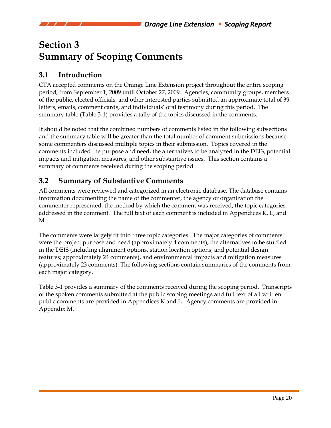# **Section 3 Summary of Scoping Comments**

# **3.1 Introduction**

CTA accepted comments on the Orange Line Extension project throughout the entire scoping period, from September 1, 2009 until October 27, 2009. Agencies, community groups, members of the public, elected officials, and other interested parties submitted an approximate total of 39 letters, emails, comment cards, and individuals' oral testimony during this period. The summary table (Table 3-1) provides a tally of the topics discussed in the comments.

It should be noted that the combined numbers of comments listed in the following subsections and the summary table will be greater than the total number of comment submissions because some commenters discussed multiple topics in their submission. Topics covered in the comments included the purpose and need, the alternatives to be analyzed in the DEIS, potential impacts and mitigation measures, and other substantive issues. This section contains a summary of comments received during the scoping period.

# **3.2 Summary of Substantive Comments**

All comments were reviewed and categorized in an electronic database. The database contains information documenting the name of the commenter, the agency or organization the commenter represented, the method by which the comment was received, the topic categories addressed in the comment. The full text of each comment is included in Appendices K, L, and M.

The comments were largely fit into three topic categories. The major categories of comments were the project purpose and need (approximately 4 comments), the alternatives to be studied in the DEIS (including alignment options, station location options, and potential design features; approximately 24 comments), and environmental impacts and mitigation measures (approximately 23 comments). The following sections contain summaries of the comments from each major category.

Table 3-1 provides a summary of the comments received during the scoping period. Transcripts of the spoken comments submitted at the public scoping meetings and full text of all written public comments are provided in Appendices K and L. Agency comments are provided in Appendix M.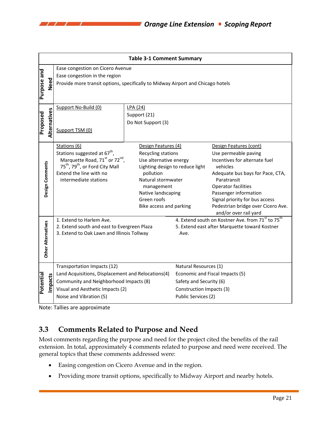|             | <b>Table 3-1 Comment Summary</b> |                                                                                 |                                   |                                                                           |                                                 |  |  |  |
|-------------|----------------------------------|---------------------------------------------------------------------------------|-----------------------------------|---------------------------------------------------------------------------|-------------------------------------------------|--|--|--|
|             |                                  | Ease congestion on Cicero Avenue                                                |                                   |                                                                           |                                                 |  |  |  |
|             |                                  | Ease congestion in the region                                                   |                                   |                                                                           |                                                 |  |  |  |
|             | Need                             | Provide more transit options, specifically to Midway Airport and Chicago hotels |                                   |                                                                           |                                                 |  |  |  |
| Purpose and |                                  |                                                                                 |                                   |                                                                           |                                                 |  |  |  |
|             |                                  |                                                                                 |                                   |                                                                           |                                                 |  |  |  |
|             |                                  | Support No-Build (0)                                                            | LPA (24)                          |                                                                           |                                                 |  |  |  |
|             |                                  |                                                                                 | Support (21)                      |                                                                           |                                                 |  |  |  |
|             |                                  |                                                                                 | Do Not Support (3)                |                                                                           |                                                 |  |  |  |
| Proposed    | Alternatives                     | Support TSM (0)                                                                 |                                   |                                                                           |                                                 |  |  |  |
|             |                                  |                                                                                 |                                   |                                                                           |                                                 |  |  |  |
|             |                                  | Stations (6)                                                                    | Design Features (4)               |                                                                           | Design Features (cont)                          |  |  |  |
|             |                                  | Stations suggested at 67 <sup>th</sup> ,                                        | Recycling stations                |                                                                           | Use permeable paving                            |  |  |  |
|             |                                  | Marquette Road, 71 <sup>st</sup> or 72 <sup>nd</sup> ,                          | Use alternative energy            |                                                                           | Incentives for alternate fuel                   |  |  |  |
|             |                                  | 75 <sup>th</sup> , 79 <sup>th</sup> , or Ford City Mall                         | Lighting design to reduce light   |                                                                           | vehicles                                        |  |  |  |
|             |                                  | Extend the line with no<br>intermediate stations                                | pollution<br>Natural stormwater   |                                                                           | Adequate bus bays for Pace, CTA,<br>Paratransit |  |  |  |
|             |                                  |                                                                                 | management                        |                                                                           | Operator facilities                             |  |  |  |
|             | Design Comments                  |                                                                                 | Native landscaping<br>Green roofs |                                                                           | Passenger information                           |  |  |  |
|             |                                  |                                                                                 |                                   |                                                                           | Signal priority for bus access                  |  |  |  |
|             |                                  |                                                                                 | Bike access and parking           |                                                                           | Pedestrian bridge over Cicero Ave.              |  |  |  |
|             |                                  |                                                                                 |                                   |                                                                           | and/or over rail yard                           |  |  |  |
|             |                                  | 1. Extend to Harlem Ave.                                                        |                                   | 4. Extend south on Kostner Ave. from 71 <sup>st</sup> to 75 <sup>th</sup> |                                                 |  |  |  |
|             |                                  | 2. Extend south and east to Evergreen Plaza                                     |                                   | 5. Extend east after Marquette toward Kostner                             |                                                 |  |  |  |
|             |                                  | 3. Extend to Oak Lawn and Illinois Tollway                                      |                                   | Ave.                                                                      |                                                 |  |  |  |
|             |                                  |                                                                                 |                                   |                                                                           |                                                 |  |  |  |
|             | Other Alternatives               |                                                                                 |                                   |                                                                           |                                                 |  |  |  |
|             |                                  |                                                                                 |                                   |                                                                           |                                                 |  |  |  |
|             |                                  | Transportation Impacts (12)                                                     |                                   | Natural Resources (1)                                                     |                                                 |  |  |  |
|             |                                  | Land Acquisitions, Displacement and Relocations(4)                              |                                   | Economic and Fiscal Impacts (5)                                           |                                                 |  |  |  |
| Potential   | mpacts                           | Community and Neighborhood Impacts (8)                                          |                                   | Safety and Security (6)                                                   |                                                 |  |  |  |
|             |                                  | Visual and Aesthetic Impacts (2)                                                |                                   | Construction Impacts (3)                                                  |                                                 |  |  |  |
|             |                                  | Noise and Vibration (5)                                                         |                                   | Public Services (2)                                                       |                                                 |  |  |  |

Note: Tallies are approximate

 $\prime$   $\prime$ 

# **3.3 Comments Related to Purpose and Need**

Most comments regarding the purpose and need for the project cited the benefits of the rail extension. In total, approximately 4 comments related to purpose and need were received. The general topics that these comments addressed were:

- Easing congestion on Cicero Avenue and in the region.
- Providing more transit options, specifically to Midway Airport and nearby hotels.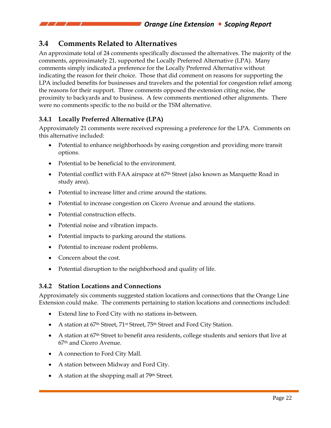# **3.4 Comments Related to Alternatives**

An approximate total of 24 comments specifically discussed the alternatives. The majority of the comments, approximately 21, supported the Locally Preferred Alternative (LPA). Many comments simply indicated a preference for the Locally Preferred Alternative without indicating the reason for their choice. Those that did comment on reasons for supporting the LPA included benefits for businesses and travelers and the potential for congestion relief among the reasons for their support. Three comments opposed the extension citing noise, the proximity to backyards and to business. A few comments mentioned other alignments. There were no comments specific to the no build or the TSM alternative.

# **3.4.1 Locally Preferred Alternative (LPA)**

Approximately 21 comments were received expressing a preference for the LPA. Comments on this alternative included:

- Potential to enhance neighborhoods by easing congestion and providing more transit options.
- Potential to be beneficial to the environment.
- Potential conflict with FAA airspace at 67<sup>th</sup> Street (also known as Marquette Road in study area).
- Potential to increase litter and crime around the stations.
- Potential to increase congestion on Cicero Avenue and around the stations.
- Potential construction effects.
- Potential noise and vibration impacts.
- Potential impacts to parking around the stations.
- Potential to increase rodent problems.
- Concern about the cost.
- Potential disruption to the neighborhood and quality of life.

### **3.4.2 Station Locations and Connections**

Approximately six comments suggested station locations and connections that the Orange Line Extension could make. The comments pertaining to station locations and connections included:

- Extend line to Ford City with no stations in-between.
- A station at 67<sup>th</sup> Street, 71<sup>st</sup> Street, 75<sup>th</sup> Street and Ford City Station.
- A station at 67<sup>th</sup> Street to benefit area residents, college students and seniors that live at 67th and Cicero Avenue.
- A connection to Ford City Mall.
- A station between Midway and Ford City.
- A station at the shopping mall at 79<sup>th</sup> Street.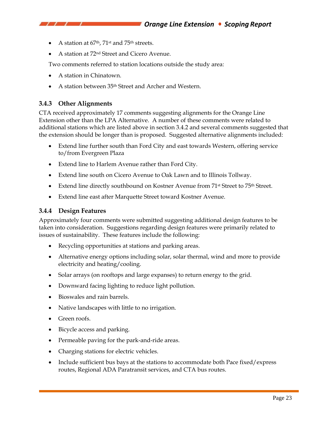- A station at  $67<sup>th</sup>$ ,  $71<sup>st</sup>$  and  $75<sup>th</sup>$  streets.
- A station at 72nd Street and Cicero Avenue.

Two comments referred to station locations outside the study area:

- A station in Chinatown.
- A station between 35th Street and Archer and Western.

### **3.4.3 Other Alignments**

CTA received approximately 17 comments suggesting alignments for the Orange Line Extension other than the LPA Alternative. A number of these comments were related to additional stations which are listed above in section 3.4.2 and several comments suggested that the extension should be longer than is proposed. Suggested alternative alignments included:

- Extend line further south than Ford City and east towards Western, offering service to/from Evergreen Plaza
- Extend line to Harlem Avenue rather than Ford City.
- Extend line south on Cicero Avenue to Oak Lawn and to Illinois Tollway.
- Extend line directly southbound on Kostner Avenue from 71<sup>st</sup> Street to 75<sup>th</sup> Street.
- Extend line east after Marquette Street toward Kostner Avenue.

#### **3.4.4 Design Features**

Approximately four comments were submitted suggesting additional design features to be taken into consideration. Suggestions regarding design features were primarily related to issues of sustainability. These features include the following:

- Recycling opportunities at stations and parking areas.
- Alternative energy options including solar, solar thermal, wind and more to provide electricity and heating/cooling.
- Solar arrays (on rooftops and large expanses) to return energy to the grid.
- Downward facing lighting to reduce light pollution.
- Bioswales and rain barrels.
- Native landscapes with little to no irrigation.
- Green roofs.
- Bicycle access and parking.
- Permeable paving for the park-and-ride areas.
- Charging stations for electric vehicles.
- Include sufficient bus bays at the stations to accommodate both Pace fixed/express routes, Regional ADA Paratransit services, and CTA bus routes.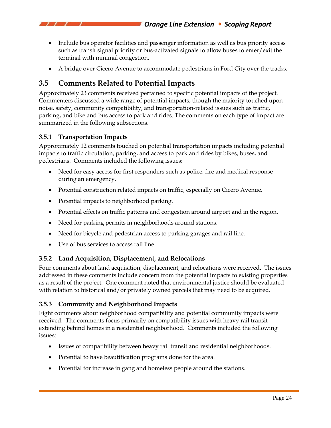- Include bus operator facilities and passenger information as well as bus priority access such as transit signal priority or bus-activated signals to allow buses to enter/exit the terminal with minimal congestion.
- A bridge over Cicero Avenue to accommodate pedestrians in Ford City over the tracks.

# **3.5 Comments Related to Potential Impacts**

Approximately 23 comments received pertained to specific potential impacts of the project. Commenters discussed a wide range of potential impacts, though the majority touched upon noise, safety, community compatibility, and transportation-related issues such as traffic, parking, and bike and bus access to park and rides. The comments on each type of impact are summarized in the following subsections.

# **3.5.1 Transportation Impacts**

Approximately 12 comments touched on potential transportation impacts including potential impacts to traffic circulation, parking, and access to park and rides by bikes, buses, and pedestrians. Comments included the following issues:

- Need for easy access for first responders such as police, fire and medical response during an emergency.
- Potential construction related impacts on traffic, especially on Cicero Avenue.
- Potential impacts to neighborhood parking.
- Potential effects on traffic patterns and congestion around airport and in the region.
- Need for parking permits in neighborhoods around stations.
- Need for bicycle and pedestrian access to parking garages and rail line.
- Use of bus services to access rail line.

# **3.5.2 Land Acquisition, Displacement, and Relocations**

Four comments about land acquisition, displacement, and relocations were received. The issues addressed in these comments include concern from the potential impacts to existing properties as a result of the project. One comment noted that environmental justice should be evaluated with relation to historical and/or privately owned parcels that may need to be acquired.

# **3.5.3 Community and Neighborhood Impacts**

Eight comments about neighborhood compatibility and potential community impacts were received. The comments focus primarily on compatibility issues with heavy rail transit extending behind homes in a residential neighborhood. Comments included the following issues:

- Issues of compatibility between heavy rail transit and residential neighborhoods.
- Potential to have beautification programs done for the area.
- Potential for increase in gang and homeless people around the stations.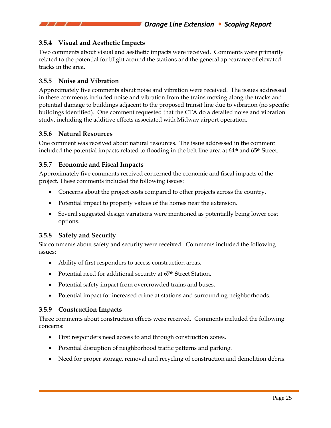### **3.5.4 Visual and Aesthetic Impacts**

Two comments about visual and aesthetic impacts were received. Comments were primarily related to the potential for blight around the stations and the general appearance of elevated tracks in the area.

#### **3.5.5 Noise and Vibration**

Approximately five comments about noise and vibration were received. The issues addressed in these comments included noise and vibration from the trains moving along the tracks and potential damage to buildings adjacent to the proposed transit line due to vibration (no specific buildings identified). One comment requested that the CTA do a detailed noise and vibration study, including the additive effects associated with Midway airport operation.

#### **3.5.6 Natural Resources**

One comment was received about natural resources. The issue addressed in the comment included the potential impacts related to flooding in the belt line area at 64<sup>th</sup> and 65<sup>th</sup> Street.

#### **3.5.7 Economic and Fiscal Impacts**

Approximately five comments received concerned the economic and fiscal impacts of the project. These comments included the following issues:

- Concerns about the project costs compared to other projects across the country.
- Potential impact to property values of the homes near the extension.
- Several suggested design variations were mentioned as potentially being lower cost options.

#### **3.5.8 Safety and Security**

Six comments about safety and security were received. Comments included the following issues:

- Ability of first responders to access construction areas.
- Potential need for additional security at 67<sup>th</sup> Street Station.
- Potential safety impact from overcrowded trains and buses.
- Potential impact for increased crime at stations and surrounding neighborhoods.

#### **3.5.9 Construction Impacts**

Three comments about construction effects were received. Comments included the following concerns:

- First responders need access to and through construction zones.
- Potential disruption of neighborhood traffic patterns and parking.
- Need for proper storage, removal and recycling of construction and demolition debris.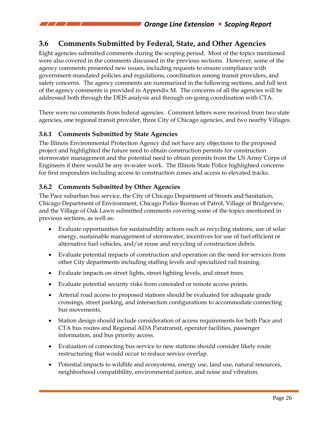# **3.6 Comments Submitted by Federal, State, and Other Agencies**

Eight agencies submitted comments during the scoping period. Most of the topics mentioned were also covered in the comments discussed in the previous sections. However, some of the agency comments presented new issues, including requests to ensure compliance with government-mandated policies and regulations, coordination among transit providers, and safety concerns. The agency comments are summarized in the following sections, and full text of the agency comments is provided in Appendix M. The concerns of all the agencies will be addressed both through the DEIS analysis and through on-going coordination with CTA.

There were no comments from federal agencies. Comment letters were received from two state agencies, one regional transit provider, three City of Chicago agencies, and two nearby Villages.

### **3.6.1 Comments Submitted by State Agencies**

The Illinois Environmental Protection Agency did not have any objections to the proposed project and highlighted the future need to obtain construction permits for construction stormwater management and the potential need to obtain permits from the US Army Corps of Engineers if there would be any in-water work. The Illinois State Police highlighted concerns for first responders including access to construction zones and access to elevated tracks.

### **3.6.2 Comments Submitted by Other Agencies**

The Pace suburban bus service, the City of Chicago Department of Streets and Sanitation, Chicago Department of Environment, Chicago Police Bureau of Patrol, Village of Bridgeview, and the Village of Oak Lawn submitted comments covering some of the topics mentioned in previous sections, as well as:

- Evaluate opportunities for sustainability actions such as recycling stations, use of solar energy, sustainable management of stormwater, incentives for use of fuel efficient or alternative fuel vehicles, and/or reuse and recycling of construction debris.
- Evaluate potential impacts of construction and operation on the need for services from other City departments including staffing levels and specialized rail training.
- Evaluate impacts on street lights, street lighting levels, and street trees.
- Evaluate potential security risks from concealed or remote access points.
- Arterial road access to proposed stations should be evaluated for adequate grade crossings, street parking, and intersection configurations to accommodate connecting bus movements.
- Station design should include consideration of access requirements for both Pace and CTA bus routes and Regional ADA Paratransit, operator facilities, passenger information, and bus priority access.
- Evaluation of connecting bus service to new stations should consider likely route restructuring that would occur to reduce service overlap.
- Potential impacts to wildlife and ecosystems, energy use, land use, natural resources, neighborhood compatibility, environmental justice, and noise and vibration.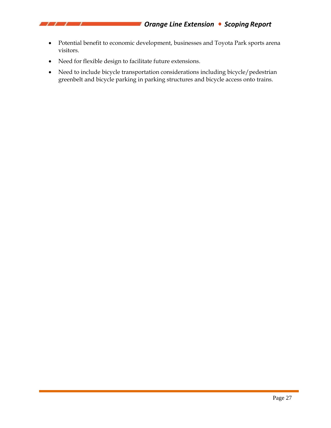

- Potential benefit to economic development, businesses and Toyota Park sports arena visitors.
- Need for flexible design to facilitate future extensions.

 $\prime$   $\prime$ 

• Need to include bicycle transportation considerations including bicycle/pedestrian greenbelt and bicycle parking in parking structures and bicycle access onto trains.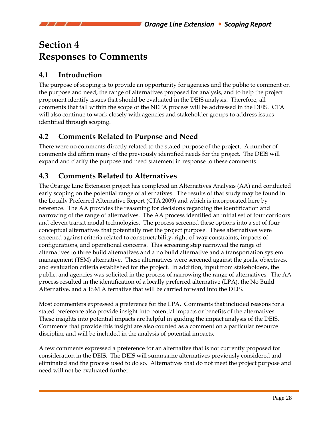# **Section 4 Responses to Comments**

# **4.1 Introduction**

The purpose of scoping is to provide an opportunity for agencies and the public to comment on the purpose and need, the range of alternatives proposed for analysis, and to help the project proponent identify issues that should be evaluated in the DEIS analysis. Therefore, all comments that fall within the scope of the NEPA process will be addressed in the DEIS. CTA will also continue to work closely with agencies and stakeholder groups to address issues identified through scoping.

# **4.2 Comments Related to Purpose and Need**

There were no comments directly related to the stated purpose of the project. A number of comments did affirm many of the previously identified needs for the project. The DEIS will expand and clarify the purpose and need statement in response to these comments.

# **4.3 Comments Related to Alternatives**

The Orange Line Extension project has completed an Alternatives Analysis (AA) and conducted early scoping on the potential range of alternatives. The results of that study may be found in the Locally Preferred Alternative Report (CTA 2009) and which is incorporated here by reference. The AA provides the reasoning for decisions regarding the identification and narrowing of the range of alternatives. The AA process identified an initial set of four corridors and eleven transit modal technologies. The process screened these options into a set of four conceptual alternatives that potentially met the project purpose. These alternatives were screened against criteria related to constructability, right-of-way constraints, impacts of configurations, and operational concerns. This screening step narrowed the range of alternatives to three build alternatives and a no build alternative and a transportation system management (TSM) alternative. These alternatives were screened against the goals, objectives, and evaluation criteria established for the project. In addition, input from stakeholders, the public, and agencies was solicited in the process of narrowing the range of alternatives. The AA process resulted in the identification of a locally preferred alternative (LPA), the No Build Alternative, and a TSM Alternative that will be carried forward into the DEIS.

Most commenters expressed a preference for the LPA. Comments that included reasons for a stated preference also provide insight into potential impacts or benefits of the alternatives. These insights into potential impacts are helpful in guiding the impact analysis of the DEIS. Comments that provide this insight are also counted as a comment on a particular resource discipline and will be included in the analysis of potential impacts.

A few comments expressed a preference for an alternative that is not currently proposed for consideration in the DEIS. The DEIS will summarize alternatives previously considered and eliminated and the process used to do so. Alternatives that do not meet the project purpose and need will not be evaluated further.